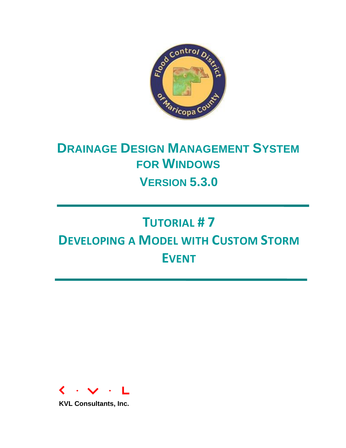

# **DRAINAGE DESIGN MANAGEMENT SYSTEM FOR WINDOWS**

**VERSION 5.3.0**

## **TUTORIAL # 7 DEVELOPING A MODEL WITH CUSTOM STORM EVENT**



**KVL Consultants, Inc.**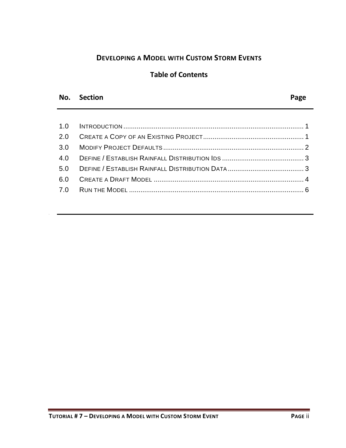## **DEVELOPING A MODEL WITH CUSTOM STORM EVENTS**

### **Table of Contents**

#### **No. Section Page**

No. Section Page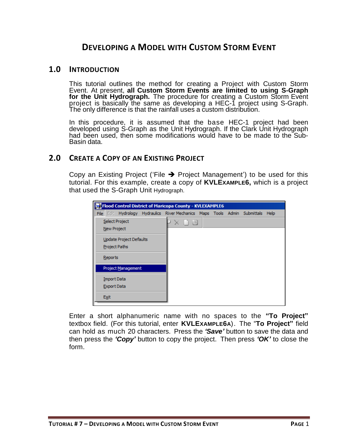## **DEVELOPING A MODEL WITH CUSTOM STORM EVENT**

#### <span id="page-2-0"></span>**1.0 INTRODUCTION**

This tutorial outlines the method for creating a Project with Custom Storm Event. At present, **all Custom Storm Events are limited to using S-Graph for the Unit Hydrograph.** The procedure for creating a Custom Storm Event project is basically the same as developing a HEC-1 project using S-Graph. The only difference is that the rainfall uses a custom distribution.

In this procedure, it is assumed that the base HEC-1 project had been developed using S-Graph as the Unit Hydrograph. If the Clark Unit Hydrograph had been used, then some modifications would have to be made to the Sub-Basin data.

#### <span id="page-2-1"></span>**2.0 CREATE A COPY OF AN EXISTING PROJECT**

Copy an Existing Project ('File  $\rightarrow$  Project Management') to be used for this tutorial. For this example, create a copy of **KVLEXAMPLE6,** which is a project that used the S-Graph Unit Hydrograph.

| Flood Control District of Maricopa County - KVLEXAMPLE6                         |        |  |  |  |  |  |  |  |  |  |  |  |  |
|---------------------------------------------------------------------------------|--------|--|--|--|--|--|--|--|--|--|--|--|--|
| File Edit Hydrology Hydraulics River Mechanics Maps Tools Admin Submittals Help |        |  |  |  |  |  |  |  |  |  |  |  |  |
| Select Project                                                                  | $\Box$ |  |  |  |  |  |  |  |  |  |  |  |  |
| <b>New Project</b>                                                              |        |  |  |  |  |  |  |  |  |  |  |  |  |
| <b>Update Project Defaults</b>                                                  |        |  |  |  |  |  |  |  |  |  |  |  |  |
| <b>Project Paths</b>                                                            |        |  |  |  |  |  |  |  |  |  |  |  |  |
| Reports                                                                         |        |  |  |  |  |  |  |  |  |  |  |  |  |
| <b>Project Management</b>                                                       |        |  |  |  |  |  |  |  |  |  |  |  |  |
| <b>Import Data</b>                                                              |        |  |  |  |  |  |  |  |  |  |  |  |  |
| <b>Export Data</b>                                                              |        |  |  |  |  |  |  |  |  |  |  |  |  |
| Exit                                                                            |        |  |  |  |  |  |  |  |  |  |  |  |  |

Enter a short alphanumeric name with no spaces to the **"To Project"** textbox field. (For this tutorial, enter **KVLEXAMPLE6A**). The "**To Project"** field can hold as much 20 characters. Press the *'Save'* button to save the data and then press the *'Copy'* button to copy the project. Then press *'OK'* to close the form.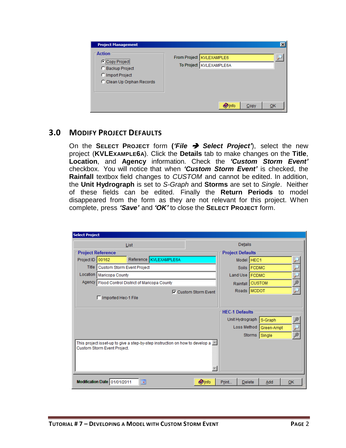| <b>Project Management</b>                                                                      | $\times$                                                |
|------------------------------------------------------------------------------------------------|---------------------------------------------------------|
| - Action<br>Copy Projecti<br>C Backup Project<br>C Import Project<br>C Clean Up Orphan Records | From Project   KVLEXAMPLE6<br>To Project   KVLEXAMPLE6A |
|                                                                                                | <b>O</b> Info<br>QK<br>Copy                             |

## <span id="page-3-0"></span>**3.0 MODIFY PROJECT DEFAULTS**

On the **SELECT PROJECT** form **(***'File Select Project'*), select the new project (**KVLEXAMPLE6A**). Click the **Details** tab to make changes on the **Title**, **Location**, and **Agency** information. Check the *'Custom Storm Event'* checkbox. You will notice that when *'Custom Storm Event'* is checked, the **Rainfall** textbox field changes to *CUSTOM* and cannot be edited. In addition, the **Unit Hydrograph** is set to *S-Graph* and **Storms** are set to *Single*. Neither of these fields can be edited. Finally the **Return Periods** to model disappeared from the form as they are not relevant for this project. When complete, press *'Save'* and *'OK'* to close the **SELECT PROJECT** form.

| <b>Select Project</b> |                              |                                                                              |  |                             |       |                         |  |                         |    |  |  |  |
|-----------------------|------------------------------|------------------------------------------------------------------------------|--|-----------------------------|-------|-------------------------|--|-------------------------|----|--|--|--|
|                       | List                         |                                                                              |  |                             |       |                         |  | Details                 |    |  |  |  |
|                       | <b>Project Reference</b>     |                                                                              |  |                             |       | <b>Project Defaults</b> |  |                         |    |  |  |  |
| Project ID 00162      |                              | Reference KVLEXAMPLE6A                                                       |  |                             |       | Model HEC1              |  |                         |    |  |  |  |
| Title                 | Custom Storm Event Project   |                                                                              |  |                             |       | Soils   FCDMC           |  |                         |    |  |  |  |
| Location              | <b>Maricopa County</b>       |                                                                              |  |                             |       | Land Use   FCDMC        |  |                         |    |  |  |  |
|                       |                              | Agency   Flood Control District of Maricopa County                           |  |                             |       | Rainfall CUSTOM         |  |                         |    |  |  |  |
|                       |                              |                                                                              |  | <b>▽</b> Custom Storm Event |       | Roads   MCDOT           |  |                         |    |  |  |  |
|                       | □ Imported Hec-1 File        |                                                                              |  |                             |       |                         |  |                         |    |  |  |  |
|                       |                              |                                                                              |  |                             |       |                         |  |                         |    |  |  |  |
|                       |                              |                                                                              |  |                             |       | <b>HEC-1 Defaults</b>   |  |                         |    |  |  |  |
|                       |                              |                                                                              |  |                             |       |                         |  | Unit Hydrograph S-Graph |    |  |  |  |
|                       |                              |                                                                              |  |                             |       |                         |  | Loss Method Green-Ampt  |    |  |  |  |
|                       |                              |                                                                              |  |                             |       |                         |  | Storms Single           |    |  |  |  |
|                       | Custom Storm Event Project.  | This project isset-up to give a step-by-step instruction on how to develop a |  |                             |       |                         |  |                         |    |  |  |  |
|                       |                              |                                                                              |  |                             |       |                         |  |                         |    |  |  |  |
|                       | Modification Date 01/01/2011 | 圜                                                                            |  | <b>O</b> Info               | Print | Delete                  |  | Add                     | OK |  |  |  |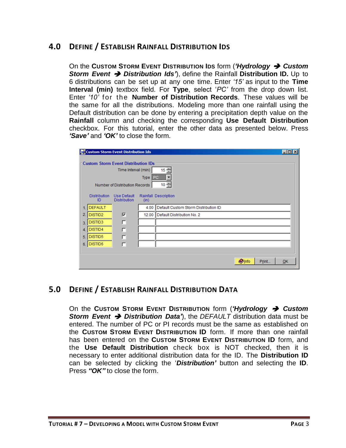## <span id="page-4-0"></span>**4.0 DEFINE / ESTABLISH RAINFALL DISTRIBUTION IDS**

On the **CUSTOM STORM EVENT DISTRIBUTION IDS** form (*'Hydrology Custom Storm Event Distribution Ids'*), define the Rainfall **Distribution ID.** Up to 6 distributions can be set up at any one time. Enter *'15'* as input to the **Time Interval (min)** textbox field. For **Type**, select '*PC'* from the drop down list. Enter *'10'* for the **Number of Distribution Records**. These values will be the same for all the distributions. Modeling more than one rainfall using the Default distribution can be done by entering a precipitation depth value on the **Rainfall** column and checking the corresponding **Use Default Distribution** checkbox. For this tutorial, enter the other data as presented below. Press *'Save'* and *'OK'* to close the form.

|     |                           | Custom Storm Event Distribution Ids                                                                 |         |                                      |              |       | $\Box$ o $\Box$ |
|-----|---------------------------|-----------------------------------------------------------------------------------------------------|---------|--------------------------------------|--------------|-------|-----------------|
|     |                           | <b>Custom Storm Event Distribution IDs</b><br>Time Interval (min)<br>Number of Distribution Records | Type PC | $15 -$<br>$10 -$                     |              |       |                 |
|     | <b>Distribution</b><br>ID | <b>Use Default</b><br><b>Distribution</b>                                                           | (in)    | Rainfall Description                 |              |       |                 |
| 1.  | <b>DEFAULT</b>            |                                                                                                     | 4.00    | Default Custom Storm Distribution ID |              |       |                 |
| 2.  | DISTID2                   | ⊽                                                                                                   | 12.00   | Default Distribution No. 2           |              |       |                 |
| 3.1 | DISTID3                   | п                                                                                                   |         |                                      |              |       |                 |
| 4.  | DISTID4                   | П                                                                                                   |         |                                      |              |       |                 |
| 5.  | DISTID5                   | $\Box$                                                                                              |         |                                      |              |       |                 |
| 6.  | DISTID6                   | п                                                                                                   |         |                                      |              |       |                 |
|     |                           |                                                                                                     |         |                                      |              |       |                 |
|     |                           |                                                                                                     |         |                                      | <b>Olnfo</b> | Print | QK              |

#### <span id="page-4-1"></span>**5.0 DEFINE / ESTABLISH RAINFALL DISTRIBUTION DATA**

On the **CUSTOM STORM EVENT DISTRIBUTION** form (*'Hydrology Custom Storm Event Distribution Data'*), the *DEFAULT* distribution data must be entered. The number of PC or PI records must be the same as established on the **CUSTOM STORM EVENT DISTRIBUTION ID** form. If more than one rainfall has been entered on the **CUSTOM STORM EVENT DISTRIBUTION ID** form, and the **Use Default Distribution** check box is NOT checked, then it is necessary to enter additional distribution data for the ID. The **Distribution ID** can be selected by clicking the '*Distribution'* button and selecting the **ID**. Press *"OK"* to close the form.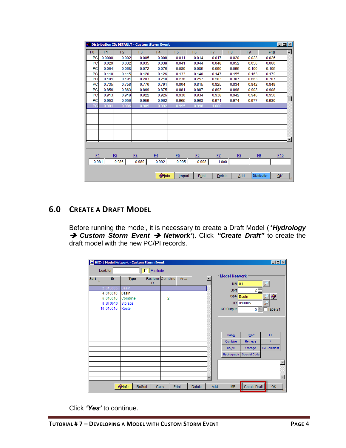|                                                         |                |                | <b>A Distribution ID: DEFAULT - Custom Storm Event</b> |                |                |                |                     |                |                |                | $\Box$ o $\mathbf{X}$ |
|---------------------------------------------------------|----------------|----------------|--------------------------------------------------------|----------------|----------------|----------------|---------------------|----------------|----------------|----------------|-----------------------|
| F <sub>0</sub>                                          | F <sub>1</sub> | F <sub>2</sub> | F <sub>3</sub>                                         | F <sub>4</sub> | F <sub>5</sub> | F <sub>6</sub> | F7                  | F <sub>8</sub> | F <sub>9</sub> | F10            | $\blacktriangle$      |
| PC                                                      | 0.0000         | 0.002          | 0.005                                                  | 0.008          | 0.011          | 0.014          | 0.017               | 0.020          | 0.023          | 0.026          |                       |
| PC                                                      | 0.029          | 0.032          | 0.035                                                  | 0.038          | 0.041          | 0.044          | 0.048               | 0.052          | 0.056          | 0.060          |                       |
| PC                                                      | 0.064          | 0.068          | 0.072                                                  | 0.076          | 0.080          | 0.085          | 0.090               | 0.095          | 0.100          | 0.105          |                       |
| PC                                                      | 0.110          | 0.115          | 0.120                                                  | 0.126          | 0.133          | 0.140          | 0.147               | 0.155          | 0.163          | 0.172          |                       |
| PC                                                      | 0.181          | 0.191          | 0.203                                                  | 0.218          | 0.236          | 0.257          | 0.283               | 0.387          | 0.663          | 0.707          |                       |
| PC                                                      | 0.735          | 0.758          | 0.776                                                  | 0.791          | 0.804          | 0.815          | 0.825               | 0.834          | 0.842          | 0.849          |                       |
| PC                                                      | 0.856          | 0.863          | 0.869                                                  | 0.875          | 0.881          | 0.887          | 0.893               | 0.898          | 0.903          | 0.908          |                       |
| PC                                                      | 0.913          | 0.918          | 0.922                                                  | 0.926          | 0.930          | 0.934          | 0.938               | 0.942          | 0.946          | 0.950          |                       |
| PC                                                      | 0.953          | 0.956          | 0.959                                                  | 0.962          | 0.965          | 0.968          | 0.971               | 0.974          | 0.977          | 0.980          |                       |
| PC                                                      | 0.981          | 0.986          | 0.989                                                  | 0.992          | 0.995          | 0.998          | 1.000               |                |                |                |                       |
|                                                         |                |                |                                                        |                |                |                |                     |                |                |                |                       |
|                                                         |                |                |                                                        |                |                |                |                     |                |                |                |                       |
|                                                         |                |                |                                                        |                |                |                |                     |                |                |                |                       |
|                                                         |                |                |                                                        |                |                |                |                     |                |                |                |                       |
|                                                         |                |                |                                                        |                |                |                |                     |                |                |                |                       |
|                                                         |                |                |                                                        |                |                |                |                     |                |                |                |                       |
|                                                         |                |                |                                                        |                |                |                |                     |                |                |                |                       |
|                                                         |                |                |                                                        |                |                |                |                     |                |                |                |                       |
| F <sub>1</sub>                                          |                | E2             | E3                                                     | F4             | F <sub>5</sub> | E6             | F7                  | F <sub>8</sub> |                | F <sub>9</sub> | E10                   |
| 0.981                                                   |                | 0.986          | 0.989                                                  | 0.992          | 0.995          | 0.998          |                     | 1.000          |                |                |                       |
|                                                         |                |                |                                                        |                |                |                |                     |                |                |                |                       |
| <b>Olnfo</b><br>Add<br>Import<br>Print<br><b>Delete</b> |                |                |                                                        |                |                |                | <b>Distribution</b> | QK             |                |                |                       |

## <span id="page-5-0"></span>**6.0 CREATE A DRAFT MODEL**

Before running the model, it is necessary to create a Draft Model (*'Hydrology* **→ Custom Storm Event → Network'**). Click "Create Draft" to create the draft model with the new PC/PI records.

|      |          | HEC-1 Model Network - Custom Storm Event |               |                  |       |        |     |                                 |              | $\Box$ olxi       |  |
|------|----------|------------------------------------------|---------------|------------------|-------|--------|-----|---------------------------------|--------------|-------------------|--|
|      | Look for |                                          | Exclude<br>п  |                  |       |        |     |                                 |              |                   |  |
| Sort | ID       | <b>Type</b>                              | ID            | Retrieve Combine | Area  |        |     | <b>Model Network</b><br>$MB$ 01 |              |                   |  |
|      | 010005   | <b>Basin</b>                             |               |                  |       |        |     |                                 |              |                   |  |
|      | 4 010010 | <b>Basin</b>                             |               |                  |       |        |     | Sort                            | $2\div$      |                   |  |
|      | 6 010010 | Combine                                  |               | $\overline{2}$   |       |        |     | Type Basin                      |              | O                 |  |
|      | 8 ST0010 | Storage                                  |               |                  |       |        |     | ID.                             | 010005       |                   |  |
|      | 10010010 | Route                                    |               |                  |       |        |     | <b>KO Output</b>                | $0 -$        | $\Box$ Tape 21    |  |
|      |          |                                          |               |                  |       |        |     |                                 |              |                   |  |
|      |          |                                          |               |                  |       |        |     |                                 |              |                   |  |
|      |          |                                          |               |                  |       |        |     |                                 |              |                   |  |
|      |          |                                          |               |                  |       |        |     |                                 |              |                   |  |
|      |          |                                          |               |                  |       |        |     | <b>Basin</b>                    | Divert       | ID                |  |
|      |          |                                          |               |                  |       |        |     | Combine                         | Retrieve     | $\pm$             |  |
|      |          |                                          |               |                  |       |        |     | Route                           | Storage      | <b>KM Comment</b> |  |
|      |          |                                          |               |                  |       |        |     | Hydrograph                      | Special Code |                   |  |
|      |          |                                          |               |                  |       |        |     |                                 |              |                   |  |
|      |          |                                          |               |                  |       |        |     |                                 |              |                   |  |
|      |          |                                          |               |                  |       |        |     |                                 |              |                   |  |
|      |          |                                          |               |                  |       |        | ▼   |                                 |              |                   |  |
|      |          | $\bullet$ Info                           | <b>ReSort</b> | Copy             | Print | Delete | Add | <b>MB</b>                       | Create Draft | QK                |  |

Click *'Yes'* to continue.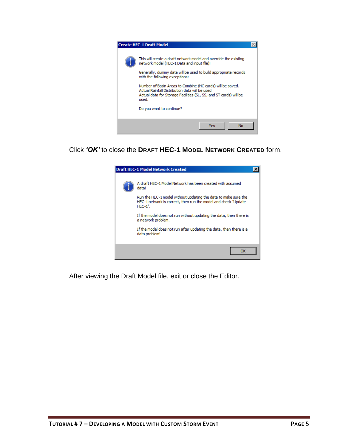

Click *'OK'* to close the **DRAFT HEC-1 MODEL NETWORK CREATED** form.



After viewing the Draft Model file, exit or close the Editor.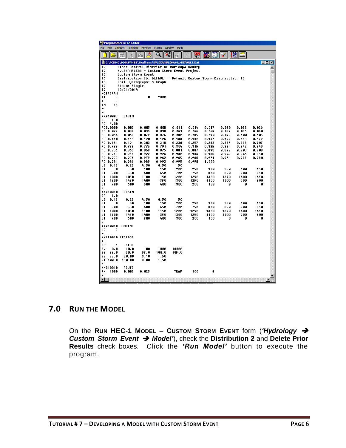|                                                                                  |                                                                                                    | Programmer's File Editor                  |                |                |                |                |                |                |                |                |                  |  |  |  |
|----------------------------------------------------------------------------------|----------------------------------------------------------------------------------------------------|-------------------------------------------|----------------|----------------|----------------|----------------|----------------|----------------|----------------|----------------|------------------|--|--|--|
| File<br><b>Edit</b><br>Options<br>Template<br>Execute<br>Macro<br>Window<br>Help |                                                                                                    |                                           |                |                |                |                |                |                |                |                |                  |  |  |  |
|                                                                                  |                                                                                                    | m.                                        |                |                |                | 목              |                |                | 溫圖             |                |                  |  |  |  |
|                                                                                  | C:\FCDMC\DDMSW482\Modiruns\KVLEXAMPLE6A\01-DEFAULT.Dat<br>$\Box$ o $\Box$                          |                                           |                |                |                |                |                |                |                |                |                  |  |  |  |
| ID                                                                               |                                                                                                    | Flood Control District of Maricopa Countu |                |                |                |                |                |                |                |                | $\blacktriangle$ |  |  |  |
| ID                                                                               |                                                                                                    | KULEXAMPLE6A - Custom Storm Event Project |                |                |                |                |                |                |                |                |                  |  |  |  |
| ID                                                                               | <b>Custom Storm Event</b><br>ID<br>Distribution ID: DEFAULT - Default Custom Storm Distribution ID |                                           |                |                |                |                |                |                |                |                |                  |  |  |  |
| ID                                                                               |                                                                                                    | Unit Hudrograph: S-Graph                  |                |                |                |                |                |                |                |                |                  |  |  |  |
| ID                                                                               |                                                                                                    | Storm: Single                             |                |                |                |                |                |                |                |                |                  |  |  |  |
| ID                                                                               |                                                                                                    | 12/31/2014                                |                |                |                |                |                |                |                |                |                  |  |  |  |
|                                                                                  | *DIAGRAM                                                                                           |                                           |                |                |                |                |                |                |                |                |                  |  |  |  |
| $I$ T                                                                            | 5                                                                                                  |                                           | Ø              | 2000           |                |                |                |                |                |                |                  |  |  |  |
| 10<br><b>IN</b>                                                                  | 5<br>15                                                                                            |                                           |                |                |                |                |                |                |                |                |                  |  |  |  |
| ×                                                                                |                                                                                                    |                                           |                |                |                |                |                |                |                |                |                  |  |  |  |
| ×                                                                                |                                                                                                    |                                           |                |                |                |                |                |                |                |                |                  |  |  |  |
|                                                                                  | KK010005                                                                                           | <b>BASIN</b>                              |                |                |                |                |                |                |                |                |                  |  |  |  |
| RA<br>PB                                                                         | 1.0<br>4.00                                                                                        |                                           |                |                |                |                |                |                |                |                |                  |  |  |  |
|                                                                                  | <b>PC0.0000</b>                                                                                    | 0.002                                     | 0.005          | 0.008          | 0.011          | 0.014          | 0.017          | 0.020          | 0.023          | 0.026          |                  |  |  |  |
|                                                                                  | PC 0.029                                                                                           | 0.032                                     | 0.035          | 0.038          | 0.041          | 0.044          | 0.048          | 0.052          | 0.056          | 0.060          |                  |  |  |  |
|                                                                                  | PC 0.064                                                                                           | 0.068                                     | 0.072          | 0.076          | 0.080          | 0.085          | 8.898          | 0.095          | 0.100          | 0.105          |                  |  |  |  |
|                                                                                  | PC 0.110                                                                                           | 8.115                                     | 0.120          | 0.126          | 0.133          | 0.140          | 0.147          | 0.155          | 0.163          | 0.172          |                  |  |  |  |
|                                                                                  | PC 0.181                                                                                           | 8.191                                     | 8.203          | 0.218          | 0.236          | 0.257          | 8.283          | 0.387          | 0.663          | 0.707          |                  |  |  |  |
|                                                                                  | PC 0.735<br>PC 0.856                                                                               | 8.758<br>8.863                            | 0.776<br>8.869 | 0.791<br>0.875 | 0.804<br>0.881 | 0.815<br>0.887 | 8.825<br>8.893 | 0.834<br>0.898 | 0.842<br>0.903 | 0.849<br>0.908 |                  |  |  |  |
|                                                                                  | PC 0.913                                                                                           | 8.918                                     | 0.922          | 0.926          | 0.930          | 0.934          | 8.938          | 0.942          | 0.946          | 0.950          |                  |  |  |  |
|                                                                                  | PC 0.953                                                                                           | 8.956                                     | 0.959          | 0.962          | 0.965          | 0.968          | 8.971          | 0.974          | 0.977          | 0.980          |                  |  |  |  |
| РC                                                                               | 0.981                                                                                              | 0.986                                     | 0.989          | 0.992          | 0.995          | 0.998          | 1.000          |                |                |                |                  |  |  |  |
| ΓG                                                                               | 0.15                                                                                               | 0.25                                      | 4.50           | 8.50           | 50             |                |                |                |                |                |                  |  |  |  |
| UI<br>UI                                                                         | Ø<br>500                                                                                           | 50<br>550                                 | 100<br>600     | 150<br>650     | 200<br>780     | 250<br>750     | 300<br>800     | 350<br>850     | 400<br>900     | 450<br>950     |                  |  |  |  |
| UI                                                                               | 1000                                                                                               | 1858                                      | 1100           | 1150           | 1200           | 1250           | 1300           | 1350           | 1400           | 1450           |                  |  |  |  |
| UI                                                                               | 1500                                                                                               | 1450                                      | 1400           | 1350           | 1300           | 1250           | 1100           | 1000           | 900            | 800            |                  |  |  |  |
| UI                                                                               | 700                                                                                                | 600                                       | 500            | 400            | 300            | 200            | 100            | Ø              | Ø              | 0              |                  |  |  |  |
| ÷                                                                                |                                                                                                    |                                           |                |                |                |                |                |                |                |                |                  |  |  |  |
| BA                                                                               | KK 010010<br>1.0                                                                                   | BASIN                                     |                |                |                |                |                |                |                |                |                  |  |  |  |
| LG                                                                               | 0.15                                                                                               | 0.25                                      | 4.50           | 8.50           | 50             |                |                |                |                |                |                  |  |  |  |
| UI                                                                               | Ø                                                                                                  | 50                                        | 100            | 150            | 200            | 250            | 300            | 350            | 400            | 450            |                  |  |  |  |
| UI                                                                               | 500                                                                                                | 550                                       | 600            | 650            | 700            | 750            | 800            | 850            | 900            | 950            |                  |  |  |  |
| UI                                                                               | 1000                                                                                               | 1858                                      | 1100           | 1150           | 1200           | 1250           | 1300           | 1350           | 1400           | 1450           |                  |  |  |  |
| UI<br>UI                                                                         | 1500<br>700                                                                                        | 1450<br>600                               | 1400<br>500    | 1350<br>400    | 1300<br>300    | 1250<br>200    | 1100<br>100    | 1000<br>0      | 900<br>0       | 800<br>0       |                  |  |  |  |
| $\ast$                                                                           |                                                                                                    |                                           |                |                |                |                |                |                |                |                |                  |  |  |  |
|                                                                                  |                                                                                                    | KK010010 COMBINE                          |                |                |                |                |                |                |                |                |                  |  |  |  |
| HС                                                                               | $\overline{2}$                                                                                     |                                           |                |                |                |                |                |                |                |                |                  |  |  |  |
| ×                                                                                |                                                                                                    | <b>KKST0010 STORAGE</b>                   |                |                |                |                |                |                |                |                |                  |  |  |  |
| KO                                                                               |                                                                                                    |                                           |                |                |                |                |                |                |                |                |                  |  |  |  |
| RS                                                                               | 1                                                                                                  | <b>STOR</b>                               |                |                |                |                |                |                |                |                |                  |  |  |  |
| SU                                                                               | 0.0                                                                                                | 10.0                                      | 100            | 1000           | 10000          |                |                |                |                |                |                  |  |  |  |
| SE<br>SS                                                                         | 85.0                                                                                               | 98.8                                      | 95.0           | 180.0          | 105.0          |                |                |                |                |                |                  |  |  |  |
|                                                                                  | 95.0<br>ST 100.0                                                                                   | 50.00<br>150.00                           | 3.10<br>3.00   | 1.50<br>1.50   |                |                |                |                |                |                |                  |  |  |  |
| ¥                                                                                |                                                                                                    |                                           |                |                |                |                |                |                |                |                |                  |  |  |  |
|                                                                                  | KK010010                                                                                           | ROUTE                                     |                |                |                |                |                |                |                |                |                  |  |  |  |
| RK<br>$\ast$                                                                     | 1000                                                                                               | 8.805                                     | 0.025          |                | TRAP           | 100            | 8              |                |                |                |                  |  |  |  |
| $\blacksquare$                                                                   |                                                                                                    |                                           |                |                |                |                |                |                |                |                |                  |  |  |  |
|                                                                                  |                                                                                                    |                                           |                |                |                |                |                |                |                |                |                  |  |  |  |

## <span id="page-7-0"></span>**7.0 RUN THE MODEL**

On the **RUN HEC-1 MODEL – CUSTOM STORM EVENT** form (*'Hydrology Custom Storm Event Model'*), check the **Distribution 2** and **Delete Prior Results** check boxes. Click the *'Run Model'* button to execute the program.